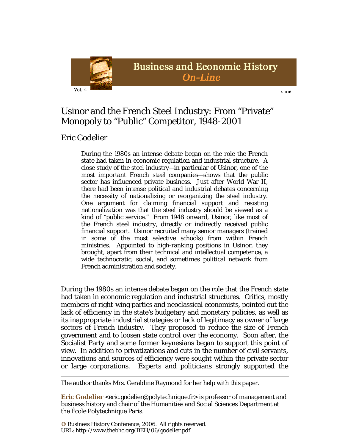

2006

# Usinor and the French Steel Industry: From "Private" Monopoly to "Public" Competitor, 1948-2001

## Eric Godelier

During the 1980s an intense debate began on the role the French state had taken in economic regulation and industrial structure. A close study of the steel industry—in particular of Usinor, one of the most important French steel companies—shows that the public sector has influenced private business. Just after World War II, there had been intense political and industrial debates concerning the necessity of nationalizing or reorganizing the steel industry. One argument for claiming financial support and resisting nationalization was that the steel industry should be viewed as a kind of "public service." From 1948 onward, Usinor, like most of the French steel industry, directly or indirectly received public financial support. Usinor recruited many senior managers (trained in some of the most selective schools) from within French ministries. Appointed to high-ranking positions in Usinor, they brought, apart from their technical and intellectual competence, a wide technocratic, social, and sometimes political network from French administration and society.

During the 1980s an intense debate began on the role that the French state had taken in economic regulation and industrial structures. Critics, mostly members of right-wing parties and neoclassical economists, pointed out the lack of efficiency in the state's budgetary and monetary policies, as well as its inappropriate industrial strategies or lack of legitimacy as owner of large sectors of French industry. They proposed to reduce the size of French government and to loosen state control over the economy. Soon after, the Socialist Party and some former keynesians began to support this point of view. In addition to privatizations and cuts in the number of civil servants, innovations and sources of efficiency were sought within the private sector or large corporations. Experts and politicians strongly supported the

The author thanks Mrs. Geraldine Raymond for her help with this paper.

**Eric Godelier** <eric.godelier@polytechnique.fr> is professor of management and business history and chair of the Humanities and Social Sciences Department at the École Polytechnique Paris.

**©** Business History Conference, 2006. All rights reserved. URL: http://www.thebhc.org/BEH/06/godelier.pdf.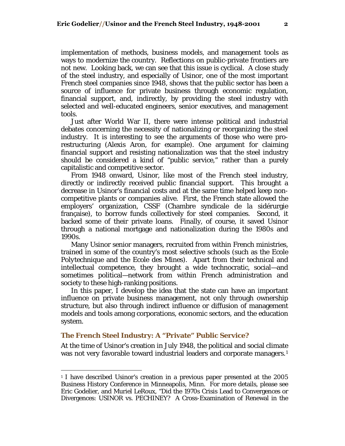implementation of methods, business models, and management tools as ways to modernize the country. Reflections on public-private frontiers are not new. Looking back, we can see that this issue is cyclical. A close study of the steel industry, and especially of Usinor, one of the most important French steel companies since 1948, shows that the public sector has been a source of influence for private business through economic regulation, financial support, and, indirectly, by providing the steel industry with selected and well-educated engineers, senior executives, and management tools.

Just after World War II, there were intense political and industrial debates concerning the necessity of nationalizing or reorganizing the steel industry. It is interesting to see the arguments of those who were prorestructuring (Alexis Aron, for example). One argument for claiming financial support and resisting nationalization was that the steel industry should be considered a kind of "public service," rather than a purely capitalistic and competitive sector.

From 1948 onward, Usinor, like most of the French steel industry, directly or indirectly received public financial support. This brought a decrease in Usinor's financial costs and at the same time helped keep noncompetitive plants or companies alive. First, the French state allowed the employers' organization, CSSF (Chambre syndicale de la sidérurgie française), to borrow funds collectively for steel companies. Second, it backed some of their private loans. Finally, of course, it saved Usinor through a national mortgage and nationalization during the 1980s and 1990s.

Many Usinor senior managers, recruited from within French ministries, trained in some of the country's most selective schools (such as the *Ecole Polytechnique* and the *Ecole des Mines*). Apart from their technical and intellectual competence, they brought a wide technocratic, social—and sometimes political—network from within French administration and society to these high-ranking positions.

In this paper, I develop the idea that the state can have an important influence on private business management, not only through ownership structure, but also through indirect influence or diffusion of management models and tools among corporations, economic sectors, and the education system.

### **The French Steel Industry: A "Private" Public Service?**

 $\overline{a}$ 

At the time of Usinor's creation in July 1948, the political and social climate was not very favorable toward industrial leaders and corporate managers.<sup>[1](#page-1-0)</sup>

<span id="page-1-0"></span><sup>&</sup>lt;sup>1</sup> I have described Usinor's creation in a previous paper presented at the 2005 Business History Conference in Minneapolis, Minn. For more details, please see Eric Godelier, and Muriel LeRoux, "Did the 1970s Crisis Lead to Convergences or Divergences: USINOR vs. PECHINEY? A Cross-Examination of Renewal in the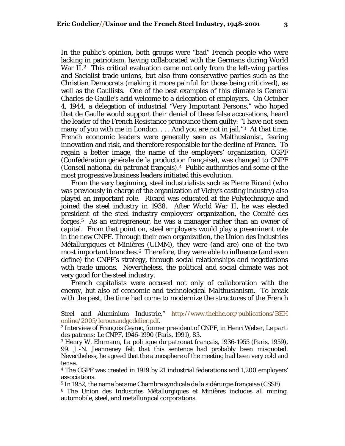In the public's opinion, both groups were "bad" French people who were lacking in patriotism, having collaborated with the Germans during World War  $II.^2$  $II.^2$  This critical evaluation came not only from the left-wing parties and Socialist trade unions, but also from conservative parties such as the Christian Democrats (making it more painful for those being criticized), as well as the Gaullists. One of the best examples of this climate is General Charles de Gaulle's acid welcome to a delegation of employers. On October 4, 1944, a delegation of industrial "Very Important Persons," who hoped that de Gaulle would support their denial of these false accusations, heard the leader of the French Resistance pronounce them guilty: "I have not seen many of you with me in London. . . . And you are not in jail."<sup>[3](#page-2-1)</sup> At that time, French economic leaders were generally seen as Malthusianist, fearing innovation and risk, and therefore responsible for the decline of France. To regain a better image, the name of the employers' organization, CGPF (Confédération générale de la production française), was changed to CNPF (Conseil national du patronat français).[4](#page-2-2) Public authorities and some of the most progressive business leaders initiated this evolution.

From the very beginning, steel industrialists such as Pierre Ricard (who was previously in charge of the organization of Vichy's casting industry) also played an important role. Ricard was educated at the Polytechnique and joined the steel industry in 1938. After World War II, he was elected president of the steel industry employers' organization, the Comité des forges.[5](#page-2-3) As an entrepreneur, he was a manager rather than an owner of capital. From that point on, steel employers would play a preeminent role in the new CNPF. Through their own organization, the Union des Industries Métallurgiques et Minières (UIMM), they were (and are) one of the two most important branches.<sup>[6](#page-2-4)</sup> Therefore, they were able to influence (and even define) the CNPF's strategy, through social relationships and negotiations with trade unions. Nevertheless, the political and social climate was not very good for the steel industry.

French capitalists were accused not only of collaboration with the enemy, but also of economic and technological Malthusianism. To break with the past, the time had come to modernize the structures of the French

 $\overline{a}$ 

<span id="page-2-2"></span>4 The CGPF was created in 1919 by 21 industrial federations and 1,200 employers' associations.

<span id="page-2-3"></span>5 In 1952, the name became Chambre syndicale de la sidérurgie française (CSSF).

<span id="page-2-4"></span>6 The Union des Industries Métallurgiques et Minières includes all mining, automobile, steel, and metallurgical corporations.

Steel and Aluminium Industrie," [http://www.thebhc.org/publications/BEH](http://www.thebhc.org/publications/BEHonline/2005/lerouxandgodelier.pdf)  [online/2005/lerouxandgodelier.pdf.](http://www.thebhc.org/publications/BEHonline/2005/lerouxandgodelier.pdf) 2 Interview of François Ceyrac, former president of CNPF, in Henri Weber, *Le parti* 

<span id="page-2-0"></span>*des patrons: Le CNPF, 1946-1990* (Paris, 1991), 83.

<span id="page-2-1"></span><sup>3</sup> Henry W. Ehrmann, *La politique du patronat français, 1936-1955* (Paris, 1959), 99. J.-N. Jeanneney felt that this sentence had probably been misquoted. Nevertheless, he agreed that the atmosphere of the meeting had been very cold and tense.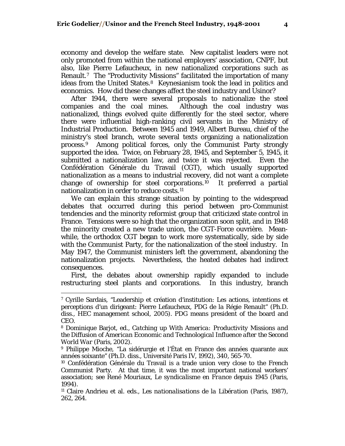economy and develop the welfare state. New capitalist leaders were not only promoted from within the national employers' association, CNPF, but also, like Pierre Lefaucheux, in new nationalized corporations such as Renault.[7](#page-3-0) The "Productivity Missions" facilitated the importation of many ideas from the United States.<sup>[8](#page-3-1)</sup> Keynesianism took the lead in politics and economics. How did these changes affect the steel industry and Usinor?

After 1944, there were several proposals to nationalize the steel companies and the coal mines. Although the coal industry was nationalized, things evolved quite differently for the steel sector, where there were influential high-ranking civil servants in the Ministry of Industrial Production. Between 1945 and 1949, Albert Bureau, chief of the ministry's steel branch, wrote several texts organizing a nationalization process.[9](#page-3-2) Among political forces, only the Communist Party strongly supported the idea. Twice, on February 28, 1945, and September 5, 1945, it submitted a nationalization law, and twice it was rejected. Even the Confédération Générale du Travail (CGT), which usually supported nationalization as a means to industrial recovery, did not want a complete change of ownership for steel corporations.[10](#page-3-3) It preferred a partial nationalization in order to reduce costs.[11](#page-3-4)

We can explain this strange situation by pointing to the widespread debates that occurred during this period between pro-Communist tendencies and the minority reformist group that criticized state control in France. Tensions were so high that the organization soon split, and in 1948 the minority created a new trade union, the CGT-Force ouvrière. Meanwhile, the orthodox CGT began to work more systematically, side by side with the Communist Party, for the nationalization of the steel industry. In May 1947, the Communist ministers left the government, abandoning the nationalization projects. Nevertheless, the heated debates had indirect consequences.

First, the debates about ownership rapidly expanded to include restructuring steel plants and corporations. In this industry, branch

<span id="page-3-0"></span><sup>7</sup> Cyrille Sardais, "Leadership et création d'institution: Les actions, intentions et perceptions d'un dirigeant: Pierre Lefaucheux, PDG de la Régie Renault" (Ph.D. diss., HEC management school, 2005). PDG means president of the board and CEO.

<span id="page-3-1"></span><sup>8</sup> Dominique Barjot, ed., *Catching up With America: Productivity Missions and the Diffusion of American Economic and Technological Influence after the Second World War* (Paris, 2002).

<span id="page-3-2"></span><sup>9</sup> Philippe Mioche, "La sidérurgie et l'État en France des années quarante aux années soixante" (Ph.D. diss., Université Paris IV, 1992), 340, 565-70.

<span id="page-3-3"></span><sup>10</sup> Confédération Générale du Travail is a trade union very close to the French Communist Party. At that time, it was the most important national workers' association; see René Mouriaux, *Le syndicalisme en France depuis 1945* (Paris, 1994).

<span id="page-3-4"></span><sup>11</sup> Claire Andrieu et al. eds., *Les nationalisations de la Libération* (Paris, 1987), 262, 264.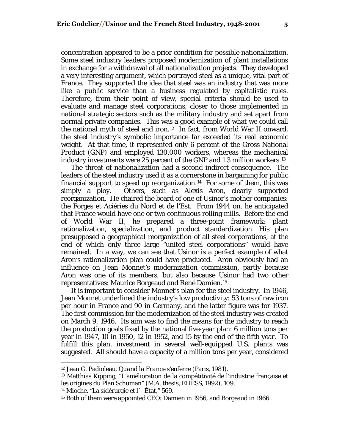concentration appeared to be a prior condition for possible nationalization. Some steel industry leaders proposed modernization of plant installations in exchange for a withdrawal of all nationalization projects. They developed a very interesting argument, which portrayed steel as a unique, vital part of France. They supported the idea that steel was an industry that was more like a public service than a business regulated by capitalistic rules. Therefore, from their point of view, special criteria should be used to evaluate and manage steel corporations, closer to those implemented in national strategic sectors such as the military industry and set apart from normal private companies. This was a good example of what we could call the national myth of steel and iron.[12](#page-4-0) In fact, from World War II onward, the steel industry's symbolic importance far exceeded its real economic weight. At that time, it represented only 6 percent of the Gross National Product (GNP) and employed 130,000 workers, whereas the mechanical industry investments were 25 percent of the GNP and 1.3 million workers.[13](#page-4-1)

The threat of nationalization had a second indirect consequence. The leaders of the steel industry used it as a cornerstone in bargaining for public financial support to speed up reorganization.<sup>[14](#page-4-2)</sup> For some of them, this was simply a ploy. Others, such as Alexis Aron, clearly supported reorganization. He chaired the board of one of Usinor's mother companies: the Forges et Aciéries du Nord et de l'Est. From 1944 on, he anticipated that France would have one or two continuous rolling mills. Before the end of World War II, he prepared a three-point framework: plant rationalization, specialization, and product standardization. His plan presupposed a geographical reorganization of all steel corporations, at the end of which only three large "united steel corporations" would have remained. In a way, we can see that Usinor is a perfect example of what Aron's rationalization plan could have produced. Aron obviously had an influence on Jean Monnet's modernization commission, partly because Aron was one of its members, but also because Usinor had two other representatives: Maurice Borgeaud and René Damien.[15](#page-4-3)

It is important to consider Monnet's plan for the steel industry. In 1946, Jean Monnet underlined the industry's low productivity: 53 tons of raw iron per hour in France and 90 in Germany, and the latter figure was for 1937. The first commission for the modernization of the steel industry was created on March 9, 1946. Its aim was to find the means for the industry to reach the production goals fixed by the national five-year plan: 6 million tons per year in 1947, 10 in 1950, 12 in 1952, and 15 by the end of the fifth year. To fulfill this plan, investment in several well-equipped U.S. plants was suggested. All should have a capacity of a million tons per year, considered

<span id="page-4-0"></span><sup>12</sup> Jean G. Padioleau, *Quand la France s'enferre* (Paris, 1981).

<span id="page-4-1"></span><sup>&</sup>lt;sup>13</sup> Matthias Kipping, "L'amélioration de la compétitivité de l'industrie française et les origines du Plan Schuman" (M.A. thesis, EHESS, 1992), 109.

<span id="page-4-2"></span><sup>&</sup>lt;sup>14</sup> Mioche, "La sidérurgie et l<sup>'</sup> État," 569.

<span id="page-4-3"></span><sup>15</sup> Both of them were appointed CEO: Damien in 1956, and Borgeaud in 1966.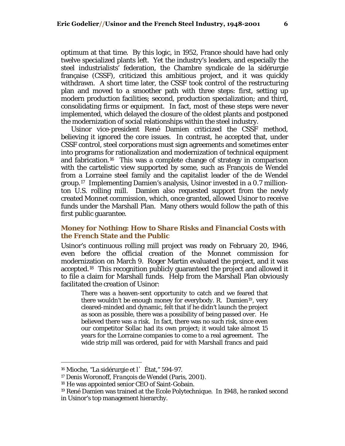optimum at that time. By this logic, in 1952, France should have had only twelve specialized plants left. Yet the industry's leaders, and especially the steel industrialists' federation, the Chambre syndicale de la sidérurgie française (CSSF), criticized this ambitious project, and it was quickly withdrawn. A short time later, the CSSF took control of the restructuring plan and moved to a smoother path with three steps: first, setting up modern production facilities; second, production specialization; and third, consolidating firms or equipment. In fact, most of these steps were never implemented, which delayed the closure of the oldest plants and postponed the modernization of social relationships within the steel industry.

Usinor vice-president René Damien criticized the CSSF method, believing it ignored the core issues. In contrast, he accepted that, under CSSF control, steel corporations must sign agreements and sometimes enter into programs for rationalization and modernization of technical equipment and fabrication.[16](#page-5-0) This was a complete change of strategy in comparison with the cartelistic view supported by some, such as François de Wendel from a Lorraine steel family and the capitalist leader of the de Wendel group.[17](#page-5-1) Implementing Damien's analysis, Usinor invested in a 0.7 millionton U.S. rolling mill. Damien also requested support from the newly created Monnet commission, which, once granted, allowed Usinor to receive funds under the Marshall Plan. Many others would follow the path of this first public guarantee.

### **Money for Nothing: How to Share Risks and Financial Costs with the French State and the Public**

Usinor's continuous rolling mill project was ready on February 20, 1946, even before the official creation of the Monnet commission for modernization on March 9. Roger Martin evaluated the project, and it was accepted.[18](#page-5-2) This recognition publicly guaranteed the project and allowed it to file a claim for Marshall funds. Help from the Marshall Plan obviously facilitated the creation of Usinor:

There was a heaven-sent opportunity to catch and we feared that there wouldn't be enough money for everybody. R. Damien<sup>[19](#page-5-3)</sup>, very cleared-minded and dynamic, felt that if he didn't launch the project as soon as possible, there was a possibility of being passed over. He believed there was a risk. In fact, there was no such risk, since even our competitor Sollac had its own project; it would take almost 15 years for the Lorraine companies to come to a real agreement. The wide strip mill was ordered, paid for with Marshall francs and paid

<span id="page-5-0"></span><sup>16</sup> Mioche, "La sidérurgie et l'État," 594-97.

<span id="page-5-1"></span><sup>17</sup> Denis Woronoff, *François de Wendel* (Paris, 2001).

<span id="page-5-2"></span><sup>18</sup> He was appointed senior CEO of Saint-Gobain.

<span id="page-5-3"></span><sup>19</sup> René Damien was trained at the Ecole Polytechnique. In 1948, he ranked second in Usinor's top management hierarchy.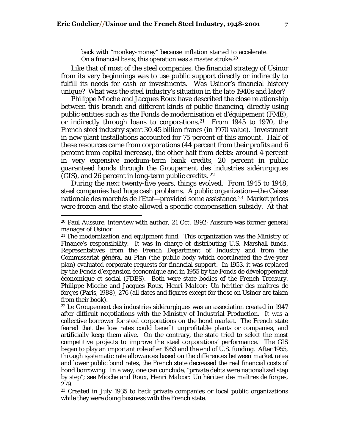back with "monkey-money" because inflation started to accelerate. On a financial basis, this operation was a master stroke.[20](#page-6-0)

Like that of most of the steel companies, the financial strategy of Usinor from its very beginnings was to use public support directly or indirectly to fulfill its needs for cash or investments. Was Usinor's financial history unique? What was the steel industry's situation in the late 1940s and later?

Philippe Mioche and Jacques Roux have described the close relationship between this branch and different kinds of public financing, directly using public entities such as the Fonds de modernisation et d'équipement (FME), or indirectly through loans to corporations.[21](#page-6-1) From 1945 to 1970, the French steel industry spent 30.45 billion francs (in 1970 value). Investment in new plant installations accounted for 75 percent of this amount. Half of these resources came from corporations (44 percent from their profits and 6 percent from capital increase), the other half from debts: around 4 percent in very expensive medium-term bank credits, 20 percent in public guaranteed bonds through the Groupement des industries sidérurgiques (GIS), and 26 percent in long-term public credits. [22](#page-6-2)

During the next twenty-five years, things evolved. From 1945 to 1948, steel companies had huge cash problems. A public organization—the Caisse nationale des marchés de l'État-provided some assistance.<sup>[23](#page-6-3)</sup> Market prices were frozen and the state allowed a specific compensation subsidy. At that

<span id="page-6-0"></span><sup>20</sup> Paul Aussure, interview with author, 21 Oct. 1992; Aussure was former general manager of Usinor.

<span id="page-6-1"></span> $21$  The modernization and equipment fund. This organization was the Ministry of Finance's responsibility. It was in charge of distributing U.S. Marshall funds. Representatives from the French Department of Industry and from the Commissariat général au Plan (the public body which coordinated the five-year plan) evaluated corporate requests for financial support. In 1953, it was replaced by the Fonds d'expansion économique and in 1955 by the Fonds de développement économique et social (FDES). Both were state bodies of the French Treasury. Philippe Mioche and Jacques Roux, *Henri Malcor: Un héritier des maîtres de forges* (Paris, 1988), 276 (all dates and figures except for those on Usinor are taken from their book).

<span id="page-6-2"></span><sup>22</sup> Le Groupement des industries sidérurgiques was an association created in 1947 after difficult negotiations with the Ministry of Industrial Production. It was a collective borrower for steel corporations on the bond market. The French state feared that the low rates could benefit unprofitable plants or companies, and artificially keep them alive. On the contrary, the state tried to select the most competitive projects to improve the steel corporations' performance. The GIS began to play an important role after 1953 and the end of U.S. funding. After 1955, through systematic rate allowances based on the differences between market rates and lower public bond rates, the French state decreased the real financial costs of bond borrowing. In a way, one can conclude, "private debts were nationalized step by step"; see Mioche and Roux, *Henri Malcor: Un héritier des maîtres de forges*, 279.

<span id="page-6-3"></span><sup>23</sup> Created in July 1935 to back private companies or local public organizations while they were doing business with the French state.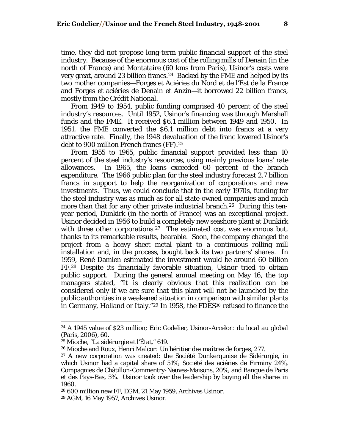time, they did not propose long-term public financial support of the steel industry. Because of the enormous cost of the rolling mills of Denain (in the north of France) and Montataire (60 kms from Paris), Usinor's costs were very great, around 23 billion francs.<sup>[24](#page-7-0)</sup> Backed by the FME and helped by its two mother companies—Forges et Aciéries du Nord et de l'Est de la France and Forges et aciéries de Denain et Anzin—it borrowed 22 billion francs, mostly from the Crédit National.

From 1949 to 1954, public funding comprised 40 percent of the steel industry's resources. Until 1952, Usinor's financing was through Marshall funds and the FME. It received \$6.1 million between 1949 and 1950. In 1951, the FME converted the \$6.1 million debt into francs at a very attractive rate. Finally, the 1948 devaluation of the franc lowered Usinor's debt to 900 million French francs (FF).<sup>[25](#page-7-1)</sup>

From 1955 to 1965, public financial support provided less than 10 percent of the steel industry's resources, using mainly previous loans' rate allowances. In 1965, the loans exceeded 60 percent of the branch expenditure. The 1966 public plan for the steel industry forecast 2.7 billion francs in support to help the reorganization of corporations and new investments. Thus, we could conclude that in the early 1970s, funding for the steel industry was as much as for all state-owned companies and much more than that for any other private industrial branch.<sup>[26](#page-7-2)</sup> During this tenyear period, Dunkirk (in the north of France) was an exceptional project. Usinor decided in 1956 to build a completely new seashore plant at Dunkirk with three other corporations.<sup>[27](#page-7-3)</sup> The estimated cost was enormous but, thanks to its remarkable results, bearable. Soon, the company changed the project from a heavy sheet metal plant to a continuous rolling mill installation and, in the process, bought back its two partners' shares. In 1959, René Damien estimated the investment would be around 60 billion FF.[28](#page-7-4) Despite its financially favorable situation, Usinor tried to obtain public support. During the general annual meeting on May 16, the top managers stated, "It is clearly obvious that this realization can be considered only if we are sure that this plant will not be launched by the public authorities in a weakened situation in comparison with similar plants in Germany, Holland or Italy."<sup>[29](#page-7-5)</sup> In 1958, the FDES<sup>[30](#page-7-6)</sup> refused to finance the

<span id="page-7-6"></span><span id="page-7-0"></span><sup>24</sup> A 1945 value of \$23 million; Eric Godelier, *Usinor-Arcelor: du local au global* (Paris, 2006), 60.

<span id="page-7-1"></span><sup>25</sup> Mioche, "La sidérurgie et l'État," 619.

<span id="page-7-2"></span><sup>26</sup> Mioche and Roux, *Henri Malcor: Un héritier des maîtres de forges*, 277.

<span id="page-7-3"></span><sup>27</sup> A new corporation was created: the Société Dunkerquoise de Sidérurgie, in which Usinor had a capital share of 51%, Société des aciéries de Firminy 24%, Compagnies de Châtillon-Commentry-Neuves-Maisons, 20%, and Banque de Paris et des Pays-Bas, 5%. Usinor took over the leadership by buying all the shares in 1960.

<span id="page-7-4"></span><sup>28 600</sup> million new FF, EGM, 21 May 1959, Archives Usinor.

<span id="page-7-5"></span><sup>29</sup> AGM, 16 May 1957, Archives Usinor.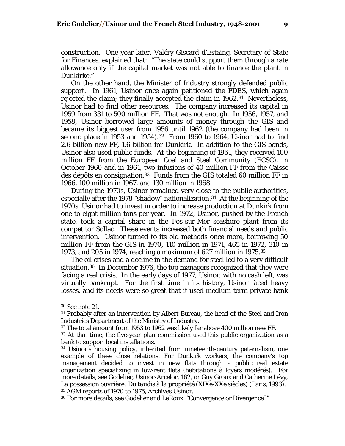construction. One year later, Valéry Giscard d'Estaing, Secretary of State for Finances, explained that: "The state could support them through a rate allowance only if the capital market was not able to finance the plant in Dunkirke."

On the other hand, the Minister of Industry strongly defended public support. In 1961, Usinor once again petitioned the FDES, which again rejected the claim; they finally accepted the claim in 1962.<sup>[31](#page-8-0)</sup> Nevertheless, Usinor had to find other resources. The company increased its capital in 1959 from 331 to 500 million FF. That was not enough. In 1956, 1957, and 1958, Usinor borrowed large amounts of money through the GIS and became its biggest user from 1956 until 1962 (the company had been in second place in 1953 and 1954).<sup>[32](#page-8-1)</sup> From 1960 to 1964, Usinor had to find 2.6 billion new FF, 1.6 billion for Dunkirk. In addition to the GIS bonds, Usinor also used public funds. At the beginning of 1961, they received 100 million FF from the European Coal and Steel Community (ECSC), in October 1960 and in 1961, two infusions of 40 million FF from the Caisse des dépôts en consignation.[33](#page-8-2) Funds from the GIS totaled 60 million FF in 1966, 100 million in 1967, and 130 million in 1968.

During the 1970s, Usinor remained very close to the public authorities, especially after the 1978 "shadow" nationalization.<sup>[34](#page-8-3)</sup> At the beginning of the 1970s, Usinor had to invest in order to increase production at Dunkirk from one to eight million tons per year. In 1972, Usinor, pushed by the French state, took a capital share in the Fos-sur-Mer seashore plant from its competitor Sollac. These events increased both financial needs and public intervention. Usinor turned to its old methods once more, borrowing 50 million FF from the GIS in 1970, 110 million in 1971, 465 in 1972, 310 in 1973, and 205 in 1974, reaching a maximum of 627 million in 1975.[35](#page-8-4)

The oil crises and a decline in the demand for steel led to a very difficult situation.[36](#page-8-5) In December 1976, the top managers recognized that they were facing a real crisis. In the early days of 1977, Usinor, with no cash left, was virtually bankrupt. For the first time in its history, Usinor faced heavy losses, and its needs were so great that it used medium-term private bank

<sup>30</sup> See note 21.

<span id="page-8-0"></span><sup>31</sup> Probably after an intervention by Albert Bureau, the head of the Steel and Iron Industries Department of the Ministry of Industry.

<span id="page-8-1"></span><sup>32</sup> The total amount from 1953 to 1962 was likely far above 400 million new FF.

<span id="page-8-2"></span><sup>&</sup>lt;sup>33</sup> At that time, the five-year plan commission used this public organization as a bank to support local installations.

<span id="page-8-3"></span><sup>34</sup> Usinor's housing policy, inherited from nineteenth-century paternalism, one example of these close relations. For Dunkirk workers, the company's top management decided to invest in new flats through a public real estate organization specializing in low-rent flats (habitations à loyers modérés). For more details, see Godelier, *Usinor-Arcelor*, 162, or Guy Groux and Catherine Lévy, *La possession ouvrière: Du taudis à la propriété (XIXe-XXe siècles)* (Paris, 1993). 35 AGM reports of 1970 to 1975, Archives Usinor.

<span id="page-8-5"></span><span id="page-8-4"></span><sup>36</sup> For more details, see Godelier and LeRoux, "Convergence or Divergence?"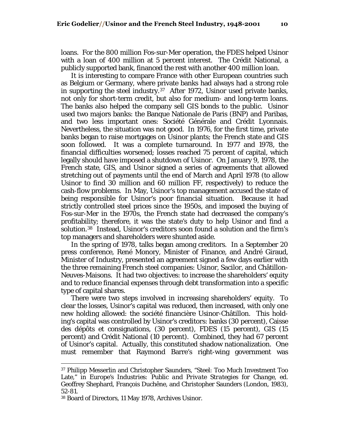loans. For the 800 million Fos-sur-Mer operation, the FDES helped Usinor with a loan of 400 million at 5 percent interest. The Crédit National, a publicly supported bank, financed the rest with another 400 million loan.

It is interesting to compare France with other European countries such as Belgium or Germany, where private banks had always had a strong role in supporting the steel industry.[37](#page-9-0) After 1972, Usinor used private banks, not only for short-term credit, but also for medium- and long-term loans. The banks also helped the company sell GIS bonds to the public. Usinor used two majors banks: the Banque Nationale de Paris (BNP) and Paribas, and two less important ones: Société Générale and Crédit Lyonnais. Nevertheless, the situation was not good. In 1976, for the first time, private banks began to raise mortgages on Usinor plants; the French state and GIS soon followed. It was a complete turnaround. In 1977 and 1978, the financial difficulties worsened; losses reached 75 percent of capital, which legally should have imposed a shutdown of Usinor. On January 9, 1978, the French state, GIS, and Usinor signed a series of agreements that allowed stretching out of payments until the end of March and April 1978 (to allow Usinor to find 30 million and 60 million FF, respectively) to reduce the cash-flow problems. In May, Usinor's top management accused the state of being responsible for Usinor's poor financial situation. Because it had strictly controlled steel prices since the 1950s, and imposed the buying of Fos-sur-Mer in the 1970s, the French state had decreased the company's profitability; therefore, it was the state's duty to help Usinor and find a solution.[38](#page-9-1) Instead, Usinor's creditors soon found a solution and the firm's top managers and shareholders were shunted aside.

In the spring of 1978, talks began among creditors. In a September 20 press conference, René Monory, Minister of Finance, and André Giraud, Minister of Industry, presented an agreement signed a few days earlier with the three remaining French steel companies: Usinor, Sacilor, and Châtillon-Neuves-Maisons. It had two objectives: to increase the shareholders' equity and to reduce financial expenses through debt transformation into a specific type of capital shares.

There were two steps involved in increasing shareholders' equity. To clear the losses, Usinor's capital was reduced, then increased, with only one new holding allowed: the société financière Usinor-Châtillon. This holding's capital was controlled by Usinor's creditors: banks (30 percent), Caisse des dépôts et consignations, (30 percent), FDES (15 percent), GIS (15 percent) and Crédit National (10 percent). Combined, they had 67 percent of Usinor's capital. Actually, this constituted shadow nationalization. One must remember that Raymond Barre's right-wing government was

<span id="page-9-0"></span><sup>37</sup> Philipp Messerlin and Christopher Saunders, "Steel: Too Much Investment Too Late," in *Europe's Industries: Public and Private Strategies for Change*, ed. Geoffrey Shephard, François Duchêne, and Christopher Saunders (London, 1983), 52-81.

<span id="page-9-1"></span><sup>38</sup> Board of Directors, 11 May 1978, Archives Usinor.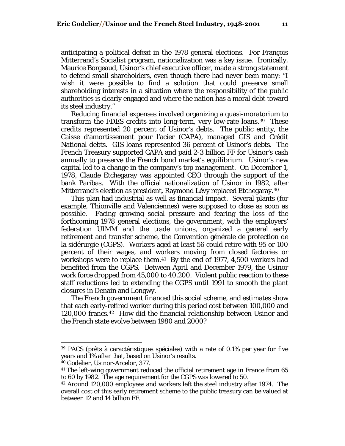anticipating a political defeat in the 1978 general elections. For François Mitterrand's Socialist program, nationalization was a key issue. Ironically, Maurice Borgeaud, Usinor's chief executive officer, made a strong statement to defend small shareholders, even though there had never been many: "I wish it were possible to find a solution that could preserve small shareholding interests in a situation where the responsibility of the public authorities is clearly engaged and where the nation has a moral debt toward its steel industry."

Reducing financial expenses involved organizing a quasi-moratorium to transform the FDES credits into long-term, very low-rate loans.[39](#page-10-0) These credits represented 20 percent of Usinor's debts. The public entity, the Caisse d'amortissement pour l'acier (CAPA), managed GIS and Crédit National debts. GIS loans represented 36 percent of Usinor's debts. The French Treasury supported CAPA and paid 2-3 billion FF for Usinor's cash annually to preserve the French bond market's equilibrium. Usinor's new capital led to a change in the company's top management. On December 1, 1978, Claude Etchegaray was appointed CEO through the support of the bank Paribas. With the official nationalization of Usinor in 1982, after Mitterrand's election as president, Raymond Lévy replaced Etchegaray.[40](#page-10-1)

This plan had industrial as well as financial impact. Several plants (for example, Thionville and Valenciennes) were supposed to close as soon as possible. Facing growing social pressure and fearing the loss of the forthcoming 1978 general elections, the government, with the employers' federation UIMM and the trade unions, organized a general early retirement and transfer scheme, the Convention générale de protection de la sidérurgie (CGPS). Workers aged at least 56 could retire with 95 or 100 percent of their wages, and workers moving from closed factories or workshops were to replace them.<sup>[41](#page-10-2)</sup> By the end of 1977, 4,500 workers had benefited from the CGPS. Between April and December 1979, the Usinor work force dropped from 45,000 to 40,200. Violent public reaction to these staff reductions led to extending the CGPS until 1991 to smooth the plant closures in Denain and Longwy.

The French government financed this social scheme, and estimates show that each early-retired worker during this period cost between 100,000 and 120,000 francs.[42](#page-10-3) How did the financial relationship between Usinor and the French state evolve between 1980 and 2000?

<span id="page-10-0"></span><sup>39</sup> PACS (prêts à caractéristiques spéciales) with a rate of 0.1% per year for five years and 1% after that, based on Usinor's results.

<span id="page-10-2"></span><span id="page-10-1"></span><sup>40</sup> Godelier, *Usinor-Arcelor*, 377.

<sup>41</sup> The left-wing government reduced the official retirement age in France from 65 to 60 by 1982. The age requirement for the CGPS was lowered to 50.

<span id="page-10-3"></span><sup>42</sup> Around 120,000 employees and workers left the steel industry after 1974. The overall cost of this early retirement scheme to the public treasury can be valued at between 12 and 14 billion FF.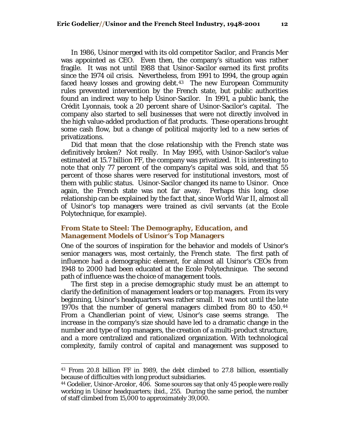In 1986, Usinor merged with its old competitor Sacilor, and Francis Mer was appointed as CEO. Even then, the company's situation was rather fragile. It was not until 1988 that Usinor-Sacilor earned its first profits since the 1974 oil crisis. Nevertheless, from 1991 to 1994, the group again faced heavy losses and growing debt.<sup>[43](#page-11-0)</sup> The new European Community rules prevented intervention by the French state, but public authorities found an indirect way to help Usinor-Sacilor. In 1991, a public bank, the Crédit Lyonnais, took a 20 percent share of Usinor-Sacilor's capital. The company also started to sell businesses that were not directly involved in the high value-added production of flat products. These operations brought some cash flow, but a change of political majority led to a new series of privatizations.

Did that mean that the close relationship with the French state was definitively broken? Not really. In May 1995, with Usinor-Sacilor's value estimated at 15.7 billion FF, the company was privatized. It is interesting to note that only 77 percent of the company's capital was sold, and that 55 percent of those shares were reserved for institutional investors, most of them with public status. Usinor-Sacilor changed its name to Usinor. Once again, the French state was not far away. Perhaps this long, close relationship can be explained by the fact that, since World War II, almost all of Usinor's top managers were trained as civil servants (at the Ecole Polytechnique, for example).

#### **From State to Steel: The Demography, Education, and Management Models of Usinor's Top Managers**

One of the sources of inspiration for the behavior and models of Usinor's senior managers was, most certainly, the French state. The first path of influence had a demographic element, for almost all Usinor's CEOs from 1948 to 2000 had been educated at the Ecole Polytechnique. The second path of influence was the choice of management tools.

The first step in a precise demographic study must be an attempt to clarify the definition of management leaders or top managers. From its very beginning, Usinor's headquarters was rather small. It was not until the late 1970s that the number of general managers climbed from 80 to 450.[44](#page-11-1) From a Chandlerian point of view, Usinor's case seems strange. The increase in the company's size should have led to a dramatic change in the number and type of top managers, the creation of a multi-product structure, and a more centralized and rationalized organization. With technological complexity, family control of capital and management was supposed to

<span id="page-11-0"></span><sup>43</sup> From 20.8 billion FF in 1989, the debt climbed to 27.8 billion, essentially because of difficulties with long product subsidiaries.

<span id="page-11-1"></span><sup>44</sup> Godelier, *Usinor-Arcelor*, 406. Some sources say that only 45 people were really working in Usinor headquarters; ibid., 255. During the same period, the number of staff climbed from 15,000 to approximately 39,000.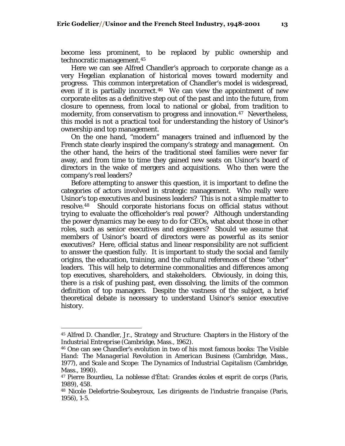become less prominent, to be replaced by public ownership and technocratic management.[45](#page-12-0)

Here we can see Alfred Chandler's approach to corporate change as a very Hegelian explanation of historical moves toward modernity and progress. This common interpretation of Chandler's model is widespread, even if it is partially incorrect.[46](#page-12-1) We can view the appointment of new corporate elites as a definitive step out of the past and into the future, from closure to openness, from local to national or global, from tradition to modernity, from conservatism to progress and innovation.<sup>[47](#page-12-2)</sup> Nevertheless, this model is not a practical tool for understanding the history of Usinor's ownership and top management.

On the one hand, "modern" managers trained and influenced by the French state clearly inspired the company's strategy and management. On the other hand, the heirs of the traditional steel families were never far away, and from time to time they gained new seats on Usinor's board of directors in the wake of mergers and acquisitions. Who then were the company's real leaders?

Before attempting to answer this question, it is important to define the categories of actors involved in strategic management. Who really were Usinor's top executives and business leaders? This is not a simple matter to resolve.[48](#page-12-3) Should corporate historians focus on official status without trying to evaluate the officeholder's real power? Although understanding the power dynamics may be easy to do for CEOs, what about those in other roles, such as senior executives and engineers? Should we assume that members of Usinor's board of directors were as powerful as its senior executives? Here, official status and linear responsibility are not sufficient to answer the question fully. It is important to study the social and family origins, the education, training, and the cultural references of these "other" leaders. This will help to determine commonalities and differences among top executives, shareholders, and stakeholders. Obviously, in doing this, there is a risk of pushing past, even dissolving, the limits of the common definition of top managers. Despite the vastness of the subject, a brief theoretical debate is necessary to understand Usinor's senior executive history.

<span id="page-12-0"></span><sup>45</sup> Alfred D. Chandler, Jr., *Strategy and Structure: Chapters in the History of the Industrial Entreprise* (Cambridge, Mass., 1962).

<span id="page-12-1"></span><sup>46</sup> One can see Chandler's evolution in two of his most famous books: *The Visible Hand: The Managerial Revolution in American Business* (Cambridge, Mass., 1977), and *Scale and Scope: The Dynamics of Industrial Capitalism* (Cambridge, Mass., 1990).

<span id="page-12-2"></span><sup>47</sup> Pierre Bourdieu, *La noblesse d'État: Grandes écoles et esprit de corps* (Paris, 1989), 458.

<span id="page-12-3"></span><sup>48</sup> Nicole Delefortrie-Soubeyroux, *Les dirigeants de l'industrie française* (Paris, 1956), 1-5.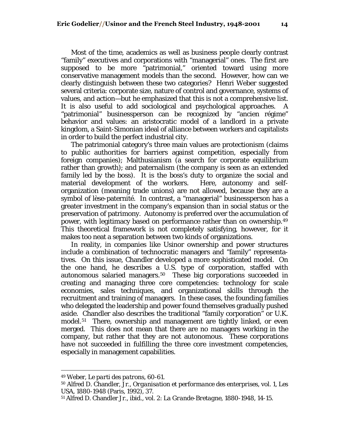Most of the time, academics as well as business people clearly contrast "family" executives and corporations with "managerial" ones. The first are supposed to be more "patrimonial," oriented toward using more conservative management models than the second. However, how can we clearly distinguish between these two categories? Henri Weber suggested several criteria: corporate size, nature of control and governance, systems of values, and action—but he emphasized that this is not a comprehensive list. It is also useful to add sociological and psychological approaches. A "patrimonial" businessperson can be recognized by "ancien régime" behavior and values: an aristocratic model of a landlord in a private kingdom, a Saint-Simonian ideal of alliance between workers and capitalists in order to build the perfect industrial city.

The patrimonial category's three main values are protectionism (claims to public authorities for barriers against competition, especially from foreign companies); Malthusianism (a search for corporate equilibrium rather than growth); and paternalism (the company is seen as an extended family led by the boss). It is the boss's duty to organize the social and material development of the workers. Here, autonomy and selforganization (meaning trade unions) are not allowed, because they are a symbol of lèse-paternité. In contrast, a "managerial" businessperson has a greater investment in the company's expansion than in social status or the preservation of patrimony. Autonomy is preferred over the accumulation of power, with legitimacy based on performance rather than on ownership.[49](#page-13-0) This theoretical framework is not completely satisfying, however, for it makes too neat a separation between two kinds of organizations.

In reality, in companies like Usinor ownership and power structures include a combination of technocratic managers and "family" representatives. On this issue, Chandler developed a more sophisticated model. On the one hand, he describes a U.S. type of corporation, staffed with autonomous salaried managers.[50](#page-13-1) These big corporations succeeded in creating and managing three core competencies: technology for scale economies, sales techniques, and organizational skills through the recruitment and training of managers. In these cases, the founding families who delegated the leadership and power found themselves gradually pushed aside. Chandler also describes the traditional "family corporation" or U.K. model.<sup>[51](#page-13-2)</sup> There, ownership and management are tightly linked, or even merged. This does not mean that there are no managers working in the company, but rather that they are not autonomous. These corporations have not succeeded in fulfilling the three core investment competencies, especially in management capabilities.

<span id="page-13-0"></span><sup>49</sup> Weber, *Le parti des patrons*, 60-61.

<span id="page-13-1"></span><sup>50</sup> Alfred D. Chandler, Jr., *Organisation et performance des enterprises,* vol. 1, *Les USA, 1880-1948* (Paris, 1992), 37.

<span id="page-13-2"></span><sup>51</sup> Alfred D. Chandler Jr., ibid., vol. 2: *La Grande-Bretagne, 1880-1948*, 14-15.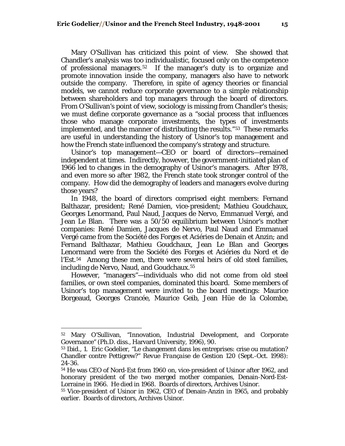Mary O'Sullivan has criticized this point of view. She showed that Chandler's analysis was too individualistic, focused only on the competence of professional managers.[52](#page-14-0) If the manager's duty is to organize and promote innovation inside the company, managers also have to network outside the company. Therefore, in spite of agency theories or financial models, we cannot reduce corporate governance to a simple relationship between shareholders and top managers through the board of directors. From O'Sullivan's point of view, sociology is missing from Chandler's thesis; we must define corporate governance as a "social process that influences those who manage corporate investments, the types of investments implemented, and the manner of distributing the results."[53](#page-14-1) These remarks are useful in understanding the history of Usinor's top management and how the French state influenced the company's strategy and structure.

Usinor's top management—CEO or board of directors—remained independent at times. Indirectly, however, the government-initiated plan of 1966 led to changes in the demography of Usinor's managers. After 1978, and even more so after 1982, the French state took stronger control of the company. How did the demography of leaders and managers evolve during those years?

In 1948, the board of directors comprised eight members: Fernand Balthazar, president; René Damien, vice-president; Mathieu Goudchaux, Georges Lenormand, Paul Naud, Jacques de Nervo, Emmanuel Vergé, and Jean Le Blan. There was a 50/50 equilibrium between Usinor's mother companies: René Damien, Jacques de Nervo, Paul Naud and Emmanuel Vergé came from the Société des Forges et Aciéries de Denain et Anzin; and Fernand Balthazar, Mathieu Goudchaux, Jean Le Blan and Georges Lenormand were from the Société des Forges et Aciéries du Nord et de l'Est.<sup>[54](#page-14-2)</sup> Among these men, there were several heirs of old steel families, including de Nervo, Naud, and Goudchaux.<sup>[55](#page-14-3)</sup>

However, "managers"—individuals who did not come from old steel families, or own steel companies, dominated this board. Some members of Usinor's top management were invited to the board meetings: Maurice Borgeaud, Georges Crancée, Maurice Geib, Jean Hüe de la Colombe,

<span id="page-14-0"></span><sup>52</sup> Mary O'Sullivan, "Innovation, Industrial Development, and Corporate Governance" (Ph.D. diss., Harvard University, 1996), 90.

<span id="page-14-1"></span><sup>53</sup> Ibid., 1. Eric Godelier, "Le changement dans les entreprises: crise ou mutation? Chandler contre Pettigrew?" *Revue Française de Gestion* 120 (Sept.-Oct. 1998): 24-36.

<span id="page-14-2"></span><sup>54</sup> He was CEO of Nord-Est from 1960 on, vice-president of Usinor after 1962, and honorary president of the two merged mother companies, Denain-Nord-Est-Lorraine in 1966. He died in 1968. Boards of directors, Archives Usinor.

<span id="page-14-3"></span><sup>55</sup> Vice-president of Usinor in 1962, CEO of Denain-Anzin in 1965, and probably earlier. Boards of directors, Archives Usinor.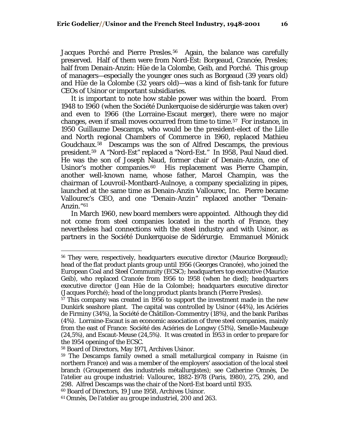Jacques Porché and Pierre Presles.<sup>[56](#page-15-0)</sup> Again, the balance was carefully preserved. Half of them were from Nord-Est: Borgeaud, Crancée, Presles; half from Denain-Anzin: Hüe de la Colombe, Geib, and Porché. This group of managers—especially the younger ones such as Borgeaud (39 years old) and Hüe de la Colombe (32 years old)—was a kind of fish-tank for future CEOs of Usinor or important subsidiaries.

It is important to note how stable power was within the board. From 1948 to 1960 (when the Société Dunkerquoise de sidérurgie was taken over) and even to 1966 (the Lorraine-Escaut merger), there were no major changes, even if small moves occurred from time to time.[57](#page-15-1) For instance, in 1950 Guillaume Descamps, who would be the president-elect of the Lille and North regional Chambers of Commerce in 1960, replaced Mathieu Goudchaux.[58](#page-15-2) Descamps was the son of Alfred Descamps, the previous president.[59](#page-15-3) A "Nord-Est" replaced a "Nord-Est." In 1958, Paul Naud died. He was the son of Joseph Naud, former chair of Denain-Anzin, one of Usinor's mother companies.<sup>[60](#page-15-4)</sup> His replacement was Pierre Champin, another well-known name, whose father, Marcel Champin, was the chairman of Louvroil-Montbard-Aulnoye, a company specializing in pipes, launched at the same time as Denain-Anzin Vallourec, Inc. Pierre became Vallourec's CEO, and one "Denain-Anzin" replaced another "Denain-Anzin."[61](#page-15-5)

In March 1960, new board members were appointed. Although they did not come from steel companies located in the north of France, they nevertheless had connections with the steel industry and with Usinor, as partners in the Société Dunkerquoise de Sidérurgie. Emmanuel Mönick

<span id="page-15-0"></span><sup>56</sup> They were, respectively, headquarters executive director (Maurice Borgeaud); head of the flat product plants group until 1956 (Georges Crancée), who joined the European Coal and Steel Community (ECSC); headquarters top executive (Maurice Geib), who replaced Crancée from 1956 to 1958 (when he died); headquarters executive director (Jean Hüe de la Colombe); headquarters executive director (Jacques Porché); head of the long product plants branch (Pierre Presles).

<span id="page-15-1"></span><sup>57</sup> This company was created in 1956 to support the investment made in the new Dunkirk seashore plant. The capital was controlled by Usinor (44%), les Aciéries de Firminy (34%), la Société de Châtillon-Commentry (18%), and the bank Paribas (4%). Lorraine-Escaut is an economic association of three steel companies, mainly from the east of France: Société des Aciéries de Longwy (51%), Senelle-Maubeuge (24,5%), and Escaut-Meuse (24,5%). It was created in 1953 in order to prepare for the 1954 opening of the ECSC.

<span id="page-15-2"></span><sup>58</sup> Board of Directors, May 1971, Archives Usinor.

<span id="page-15-3"></span><sup>59</sup> The Descamps family owned a small metallurgical company in Raisme (in northern France) and was a member of the employers' association of the local steel branch (Groupement des industriels métallurgistes); see Catherine Omnès, *De l'atelier au groupe industriel: Vallourec, 1882-1978* (Paris, 1980), 275, 290, and 298. Alfred Descamps was the chair of the Nord-Est board until 1935.

<span id="page-15-4"></span><sup>60</sup> Board of Directors, 19 June 1958, Archives Usinor.

<span id="page-15-5"></span><sup>61</sup> Omnès, *De l'atelier au groupe industriel*, 200 and 263.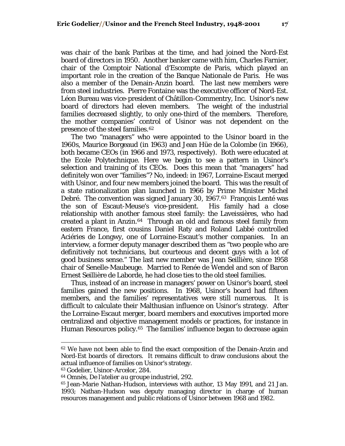was chair of the bank Paribas at the time, and had joined the Nord-Est board of directors in 1950. Another banker came with him, Charles Farnier, chair of the Comptoir National d'Escompte de Paris, which played an important role in the creation of the Banque Nationale de Paris. He was also a member of the Denain-Anzin board. The last new members were from steel industries. Pierre Fontaine was the executive officer of Nord-Est. Léon Bureau was vice-president of Châtillon-Commentry, Inc. Usinor's new board of directors had eleven members. The weight of the industrial families decreased slightly, to only one-third of the members. Therefore, the mother companies' control of Usinor was not dependent on the presence of the steel families.<sup>[62](#page-16-0)</sup>

The two "managers" who were appointed to the Usinor board in the 1960s, Maurice Borgeaud (in 1963) and Jean Hüe de la Colombe (in 1966), both became CEOs (in 1966 and 1973, respectively). Both were educated at the Ecole Polytechnique. Here we begin to see a pattern in Usinor's selection and training of its CEOs. Does this mean that "managers" had definitely won over "families"? No, indeed: in 1967, Lorraine-Escaut merged with Usinor, and four new members joined the board. This was the result of a state rationalization plan launched in 1966 by Prime Minister Michel Debré. The convention was signed January 30, 1967.[63](#page-16-1) François Lenté was the son of Escaut-Meuse's vice-president. His family had a close relationship with another famous steel family: the Laveissières, who had created a plant in Anzin.[64](#page-16-2) Through an old and famous steel family from eastern France, first cousins Daniel Raty and Roland Labbé controlled Aciéries de Longwy, one of Lorraine-Escaut's mother companies. In an interview, a former deputy manager described them as "two people who are definitively not technicians, but courteous and decent guys with a lot of good business sense." The last new member was Jean Seillière, since 1958 chair of Senelle-Maubeuge. Married to Renée de Wendel and son of Baron Ernest Seillière de Laborde, he had close ties to the old steel families.

Thus, instead of an increase in managers' power on Usinor's board, steel families gained the new positions. In 1968, Usinor's board had fifteen members, and the families' representatives were still numerous. It is difficult to calculate their Malthusian influence on Usinor's strategy. After the Lorraine-Escaut merger, board members and executives imported more centralized and objective management models or practices, for instance in Human Resources policy.<sup>[65](#page-16-3)</sup> The families' influence began to decrease again

<span id="page-16-0"></span><sup>62</sup> We have not been able to find the exact composition of the Denain-Anzin and Nord-Est boards of directors. It remains difficult to draw conclusions about the actual influence of families on Usinor's strategy.

<span id="page-16-1"></span><sup>63</sup> Godelier, *Usinor-Arcelor*, 284.

<span id="page-16-2"></span><sup>64</sup> Omnès, *De l'atelier au groupe industriel*, 292.

<span id="page-16-3"></span><sup>65</sup> Jean-Marie Nathan-Hudson, interviews with author, 13 May 1991, and 21 Jan. 1993; Nathan-Hudson was deputy managing director in charge of human resources management and public relations of Usinor between 1968 and 1982.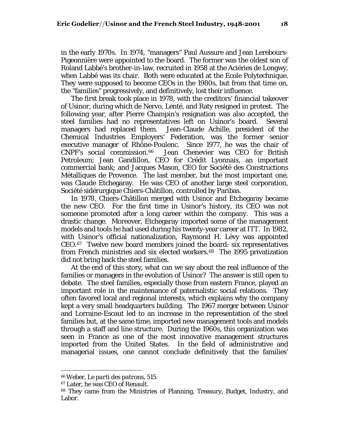in the early 1970s. In 1974, "managers" Paul Aussure and Jean Lerebours-Pigeonnière were appointed to the board. The former was the oldest son of Roland Labbé's brother-in-law, recruited in 1958 at the Aciéries de Longwy, when Labbé was its chair. Both were educated at the Ecole Polytechnique. They were supposed to become CEOs in the 1980s, but from that time on, the "families" progressively, and definitively, lost their influence.

The first break took place in 1978, with the creditors' financial takeover of Usinor, during which de Nervo, Lenté, and Raty resigned in protest. The following year, after Pierre Champin's resignation was also accepted, the steel families had no representatives left on Usinor's board. Several managers had replaced them. Jean-Claude Achille, president of the Chemical Industries Employers' Federation, was the former senior executive manager of Rhône-Poulenc. Since 1977, he was the chair of CNPF's social commission.[66](#page-17-0) Jean Chenevier was CEO for British Petroleum; Jean Gandillon, CEO for Crédit Lyonnais, an important commercial bank; and Jacques Mason, CEO for Société des Constructions Métalliques de Provence. The last member, but the most important one, was Claude Etchegaray. He was CEO of another large steel corporation, Société sidérurgique Chiers-Châtillon, controlled by Paribas.

In 1978, Chiers-Châtillon merged with Usinor and Etchegaray became the new CEO. For the first time in Usinor's history, its CEO was not someone promoted after a long career within the company. This was a drastic change. Moreover, Etchegaray imported some of the management models and tools he had used during his twenty-year career at ITT. In 1982, with Usinor's official nationalization, Raymond H. Lévy was appointed CEO.[67](#page-17-1) Twelve new board members joined the board: six representatives from French ministries and six elected workers.[68](#page-17-2) The 1995 privatization did not bring back the steel families.

At the end of this story, what can we say about the real influence of the families or managers in the evolution of Usinor? The answer is still open to debate. The steel families, especially those from eastern France, played an important role in the maintenance of paternalistic social relations. They often favored local and regional interests, which explains why the company kept a very small headquarters building. The 1967 merger between Usinor and Lorraine-Escaut led to an increase in the representation of the steel families but, at the same time, imported new management tools and models through a staff and line structure. During the 1960s, this organization was seen in France as one of the most innovative management structures imported from the United States. In the field of administrative and managerial issues, one cannot conclude definitively that the families'

<span id="page-17-0"></span><sup>66</sup> Weber, *Le parti des patrons*, 515.

<span id="page-17-1"></span><sup>67</sup> Later, he was CEO of Renault.

<span id="page-17-2"></span><sup>68</sup> They came from the Ministries of Planning, Treasury, Budget, Industry, and Labor.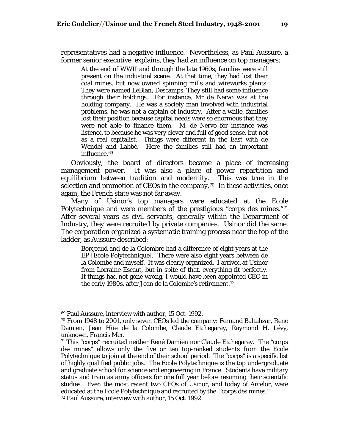representatives had a negative influence. Nevertheless, as Paul Aussure, a former senior executive, explains, they had an influence on top managers:

At the end of WWII and through the late 1960s, families were still present on the industrial scene. At that time, they had lost their coal mines, but now owned spinning mills and wireworks plants. They were named LeBlan, Descamps. They still had some influence through their holdings. For instance, Mr de Nervo was at the holding company. He was a society man involved with industrial problems, he was not a captain of industry. After a while, families lost their position because capital needs were so enormous that they were not able to finance them. M. de Nervo for instance was listened to because he was very clever and full of good sense, but not as a real capitalist. Things were different in the East with de Wendel and Labbé. Here the families still had an important influence.[69](#page-18-0)

Obviously, the board of directors became a place of increasing management power. It was also a place of power repartition and equilibrium between tradition and modernity. This was true in the selection and promotion of CEOs in the company.<sup>[70](#page-18-1)</sup> In these activities, once again, the French state was not far away.

Many of Usinor's top managers were educated at the Ecole Polytechnique and were members of the prestigious "corps des mines."[71](#page-18-2) After several years as civil servants, generally within the Department of Industry, they were recruited by private companies. Usinor did the same. The corporation organized a systematic training process near the top of the ladder, as Aussure described:

Borgeaud and de la Colombre had a difference of eight years at the EP [Ecole Polytechnique]. There were also eight years between de la Colombe and myself. It was clearly organized. I arrived at Usinor from Lorraine-Escaut, but in spite of that, everything fit perfectly. If things had not gone wrong, I would have been appointed CEO in the early 1980s, after Jean de la Colombe's retirement.[72](#page-18-3)

<span id="page-18-0"></span><sup>69</sup> Paul Aussure, interview with author, 15 Oct. 1992.

<span id="page-18-1"></span><sup>70</sup> From 1948 to 2001, only seven CEOs led the company: Fernand Baltahzar, René Damien, Jean Hüe de la Colombe, Claude Etchegaray, Raymond H. Lévy, unknown, Francis Mer.

<span id="page-18-3"></span><span id="page-18-2"></span> $71$  This "corps" recruited neither René Damien nor Claude Etchegaray. The "corps" des mines" allows only the five or ten top-ranked students from the Ecole Polytechnique to join at the end of their school period. The "corps" is a specific list of highly qualified public jobs. The Ecole Polytechnique is the top undergraduate and graduate school for science and engineering in France. Students have military status and train as army officers for one full year before resuming their scientific studies. Even the most recent two CEOs of Usinor, and today of Arcelor, were educated at the Ecole Polytechnique and recruited by the "corps des mines." 72 Paul Aussure, interview with author, 15 Oct. 1992.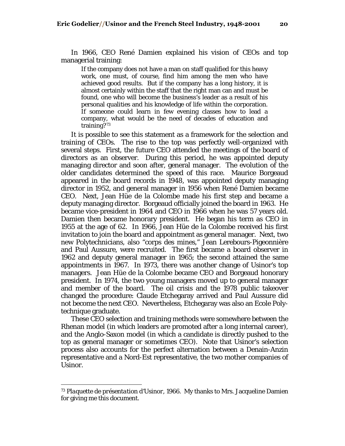In 1966, CEO René Damien explained his vision of CEOs and top managerial training:

If the company does not have a man on staff qualified for this heavy work, one must, of course, find him among the men who have achieved good results. But if the company has a long history, it is almost certainly within the staff that the right man can and must be found, one who will become the business's leader as a result of his personal qualities and his knowledge of life within the corporation. If someone could learn in few evening classes how to lead a company, what would be the need of decades of education and training?[73](#page-19-0)

It is possible to see this statement as a framework for the selection and training of CEOs. The rise to the top was perfectly well-organized with several steps. First, the future CEO attended the meetings of the board of directors as an observer. During this period, he was appointed deputy managing director and soon after, general manager. The evolution of the older candidates determined the speed of this race. Maurice Borgeaud appeared in the board records in 1948, was appointed deputy managing director in 1952, and general manager in 1956 when René Damien became CEO. Next, Jean Hüe de la Colombe made his first step and became a deputy managing director. Borgeaud officially joined the board in 1963. He became vice-president in 1964 and CEO in 1966 when he was 57 years old. Damien then became honorary president. He began his term as CEO in 1955 at the age of 62. In 1966, Jean Hüe de la Colombe received his first invitation to join the board and appointment as general manager. Next, two new Polytechnicians, also "corps des mines," Jean Lerebours-Pigeonnière and Paul Aussure, were recruited. The first became a board observer in 1962 and deputy general manager in 1965; the second attained the same appointments in 1967. In 1973, there was another change of Usinor's top managers. Jean Hüe de la Colombe became CEO and Borgeaud honorary president. In 1974, the two young managers moved up to general manager and member of the board. The oil crisis and the 1978 public takeover changed the procedure: Claude Etchegaray arrived and Paul Aussure did not become the next CEO. Nevertheless, Etchegaray was also an Ecole Polytechnique graduate.

These CEO selection and training methods were somewhere between the Rhenan model (in which leaders are promoted after a long internal career), and the Anglo-Saxon model (in which a candidate is directly pushed to the top as general manager or sometimes CEO). Note that Usinor's selection process also accounts for the perfect alternation between a Denain-Anzin representative and a Nord-Est representative, the two mother companies of Usinor.

<span id="page-19-0"></span><sup>73</sup> *Plaquette de présentation d'Usinor, 1966*. My thanks to Mrs. Jacqueline Damien for giving me this document.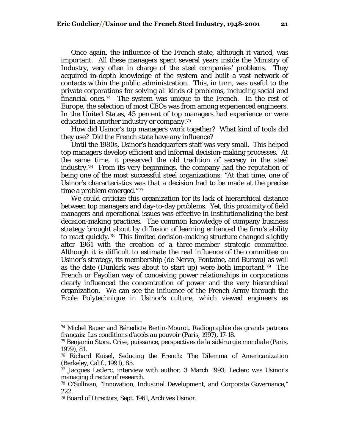Once again, the influence of the French state, although it varied, was important. All these managers spent several years inside the Ministry of Industry, very often in charge of the steel companies' problems. They acquired in-depth knowledge of the system and built a vast network of contacts within the public administration. This, in turn, was useful to the private corporations for solving all kinds of problems, including social and financial ones.<sup>74</sup> The system was unique to the French. In the rest of Europe, the selection of most CEOs was from among experienced engineers. In the United States, 45 percent of top managers had experience or were educated in another industry or company.[75](#page-20-1)

How did Usinor's top managers work together? What kind of tools did they use? Did the French state have any influence?

Until the 1980s, Usinor's headquarters staff was very small. This helped top managers develop efficient and informal decision-making processes. At the same time, it preserved the old tradition of secrecy in the steel industry.[76](#page-20-2) From its very beginnings, the company had the reputation of being one of the most successful steel organizations: "At that time, one of Usinor's characteristics was that a decision had to be made at the precise time a problem emerged."[77](#page-20-3)

We could criticize this organization for its lack of hierarchical distance between top managers and day-to-day problems. Yet, this proximity of field managers and operational issues was effective in institutionalizing the best decision-making practices. The common knowledge of company business strategy brought about by diffusion of learning enhanced the firm's ability to react quickly.[78](#page-20-4) This limited decision-making structure changed slightly after 1961 with the creation of a three-member strategic committee. Although it is difficult to estimate the real influence of the committee on Usinor's strategy, its membership (de Nervo, Fontaine, and Bureau) as well as the date (Dunkirk was about to start up) were both important.<sup>[79](#page-20-5)</sup> The French or Fayolian way of conceiving power relationships in corporations clearly influenced the concentration of power and the very hierarchical organization. We can see the influence of the French Army through the Ecole Polytechnique in Usinor's culture, which viewed engineers as

<span id="page-20-0"></span><sup>74</sup> Michel Bauer and Bénedicte Bertin-Mourot, *Radiographie des grands patrons français: Les conditions d'accès au pouvoir* (Paris, 1997), 17-18.

<span id="page-20-1"></span><sup>75</sup> Benjamin Stora, *Crise, puissance, perspectives de la sidérurgie mondiale* (Paris, 1979), 81.

<span id="page-20-2"></span><sup>76</sup> Richard Kuisel, *Seducing the French: The Dilemma of Americanization* (Berkeley, Calif., 1991), 85.

<span id="page-20-3"></span><sup>77</sup> Jacques Leclerc, interview with author, 3 March 1993; Leclerc was Usinor's managing director of research.

<span id="page-20-4"></span><sup>78</sup> O'Sullivan, "Innovation, Industrial Development, and Corporate Governance," 222.

<span id="page-20-5"></span><sup>79</sup> Board of Directors, Sept. 1961, Archives Usinor.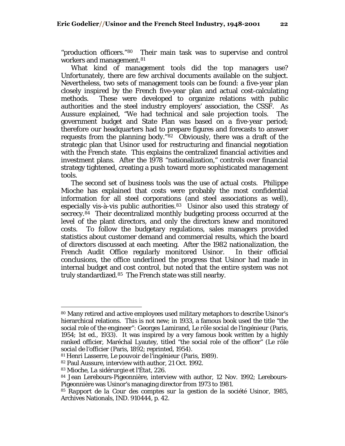"production officers."[80](#page-21-0) Their main task was to supervise and control workers and management.<sup>[81](#page-21-1)</sup>

What kind of management tools did the top managers use? Unfortunately, there are few archival documents available on the subject. Nevertheless, two sets of management tools can be found: a five-year plan closely inspired by the French five-year plan and actual cost-calculating methods. These were developed to organize relations with public authorities and the steel industry employers' association, the CSSF. As Aussure explained, "We had technical and sale projection tools. The government budget and State Plan was based on a five-year period; therefore our headquarters had to prepare figures and forecasts to answer requests from the planning body."[82](#page-21-2) Obviously, there was a draft of the strategic plan that Usinor used for restructuring and financial negotiation with the French state. This explains the centralized financial activities and investment plans. After the 1978 "nationalization," controls over financial strategy tightened, creating a push toward more sophisticated management tools.

The second set of business tools was the use of actual costs. Philippe Mioche has explained that costs were probably the most confidential information for all steel corporations (and steel associations as well), especially vis-à-vis public authorities.<sup>[83](#page-21-3)</sup> Usinor also used this strategy of secrecy.<sup>[84](#page-21-4)</sup> Their decentralized monthly budgeting process occurred at the level of the plant directors, and only the directors knew and monitored costs. To follow the budgetary regulations, sales managers provided statistics about customer demand and commercial results, which the board of directors discussed at each meeting. After the 1982 nationalization, the French Audit Office regularly monitored Usinor. In their official conclusions, the office underlined the progress that Usinor had made in internal budget and cost control, but noted that the entire system was not truly standardized.[85](#page-21-5) The French state was still nearby.

<span id="page-21-0"></span><sup>80</sup> Many retired and active employees used military metaphors to describe Usinor's hierarchical relations. This is not new; in 1933, a famous book used the title "the social role of the engineer": Georges Lamirand, *Le rôle social de l'ingénieur* (Paris, 1954; 1st ed., 1933). It was inspired by a very famous book written by a highly ranked officier, Maréchal Lyautey, titled "the social role of the officer" (*Le rôle social de l'officier* (Paris, 1892; reprinted, 1954).

<span id="page-21-1"></span><sup>81</sup> Henri Lasserre, *Le pouvoir de l'ingénieur* (Paris, 1989).

<span id="page-21-3"></span><span id="page-21-2"></span><sup>82</sup> Paul Aussure, interview with author, 21 Oct. 1992.

<sup>83</sup> Mioche, *La sidérurgie et l'État,* 226.

<span id="page-21-4"></span><sup>84</sup> Jean Lerebours-Pigeonnière, interview with author, 12 Nov. 1992; Lerebours-Pigeonnière was Usinor's managing director from 1973 to 1981.

<span id="page-21-5"></span><sup>85</sup> *Rapport de la Cour des comptes sur la gestion de la société Usinor, 1985*, Archives Nationals, IND. 910444, p. 42.